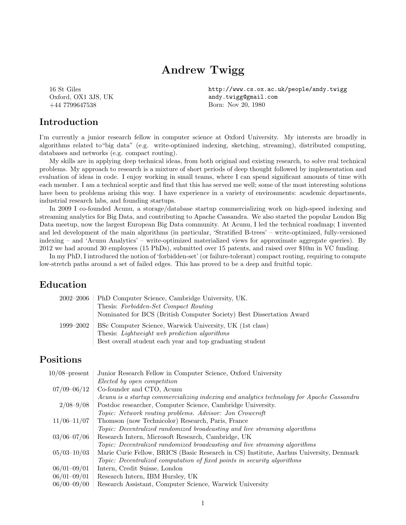# Andrew Twigg

16 St Giles Oxford, OX1 3JS, UK +44 7799647538

#### Introduction

http://www.cs.ox.ac.uk/people/andy.twigg andy.twigg@gmail.com Born: Nov 20, 1980

I'm currently a junior research fellow in computer science at Oxford University. My interests are broadly in algorithms related to"big data" (e.g. write-optimized indexing, sketching, streaming), distributed computing, databases and networks (e.g. compact routing).

My skills are in applying deep technical ideas, from both original and existing research, to solve real technical problems. My approach to research is a mixture of short periods of deep thought followed by implementation and evaluation of ideas in code. I enjoy working in small teams, where I can spend significant amounts of time with each member. I am a technical sceptic and find that this has served me well; some of the most interesting solutions have been to problems arising this way. I have experience in a variety of environments: academic departments, industrial research labs, and founding startups.

In 2009 I co-founded Acunu, a storage/database startup commercializing work on high-speed indexing and streaming analytics for Big Data, and contributing to Apache Cassandra. We also started the popular London Big Data meetup, now the largest European Big Data community. At Acunu, I led the technical roadmap; I invented and led development of the main algorithms (in particular, 'Stratified B-trees' – write-optimized, fully-versioned indexing – and 'Acunu Analytics' – write-optimized materialized views for approximate aggregate queries). By 2012 we had around 30 employees (15 PhDs), submitted over 15 patents, and raised over \$10m in VC funding.

In my PhD, I introduced the notion of 'forbidden-set' (or failure-tolerant) compact routing, requiring to compute low-stretch paths around a set of failed edges. This has proved to be a deep and fruitful topic.

#### Education

| 2002–2006 | PhD Computer Science, Cambridge University, UK.                      |
|-----------|----------------------------------------------------------------------|
|           | Thesis: Forbidden-Set Compact Routing                                |
|           | Nominated for BCS (British Computer Society) Best Dissertation Award |
| 1999–2002 | BSc Computer Science, Warwick University, UK (1st class)             |
|           | Thesis: <i>Lightweight web prediction algorithms</i>                 |
|           | Best overall student each year and top graduating student            |

### Positions

| $10/08$ -present | Junior Research Fellow in Computer Science, Oxford University                             |
|------------------|-------------------------------------------------------------------------------------------|
|                  | Elected by open competition                                                               |
| $07/09 - 06/12$  | Co-founder and CTO, Acunu                                                                 |
|                  | Acunu is a startup commercializing indexing and analytics technology for Apache Cassandra |
| $2/08 - 9/08$    | Postdoc researcher, Computer Science, Cambridge University.                               |
|                  | Topic: Network routing problems. Advisor: Jon Crowcroft                                   |
| $11/06 - 11/07$  | Thomson (now Technicolor) Research, Paris, France                                         |
|                  | Topic: Decentralized randomized broadcasting and live streaming algorithms                |
| $03/06 - 07/06$  | Research Intern, Microsoft Research, Cambridge, UK                                        |
|                  | Topic: Decentralized randomized broadcasting and live streaming algorithms                |
| $05/03 - 10/03$  | Marie Curie Fellow, BRICS (Basic Research in CS) Institute, Aarhus University, Denmark    |
|                  | Topic: Decentralized computation of fixed points in security algorithms                   |
| $06/01 - 09/01$  | Intern, Credit Suisse, London                                                             |
| $06/01 - 09/01$  | Research Intern, IBM Hursley, UK                                                          |
| $06/00 - 09/00$  | Research Assistant, Computer Science, Warwick University                                  |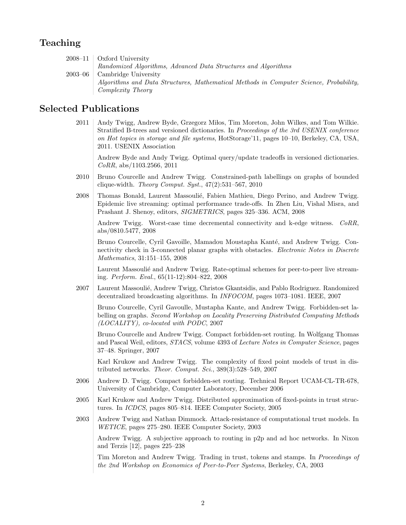# Teaching

| $2008-11$ Oxford University                                                            |
|----------------------------------------------------------------------------------------|
| Randomized Algorithms, Advanced Data Structures and Algorithms                         |
| $2003-06$ Cambridge University                                                         |
| Algorithms and Data Structures, Mathematical Methods in Computer Science, Probability, |
| Complexity Theory                                                                      |

## Selected Publications

2011 | Andy Twigg, Andrew Byde, Grzegorz Miłos, Tim Moreton, John Wilkes, and Tom Wilkie. Stratified B-trees and versioned dictionaries. In Proceedings of the 3rd USENIX conference on Hot topics in storage and file systems, HotStorage'11, pages 10–10, Berkeley, CA, USA, 2011. USENIX Association

Andrew Byde and Andy Twigg. Optimal query/update tradeoffs in versioned dictionaries. CoRR, abs/1103.2566, 2011

- 2010 Bruno Courcelle and Andrew Twigg. Constrained-path labellings on graphs of bounded clique-width. Theory Comput. Syst.,  $47(2):531-567$ ,  $2010$
- 2008 Thomas Bonald, Laurent Massoulié, Fabien Mathieu, Diego Perino, and Andrew Twigg. Epidemic live streaming: optimal performance trade-offs. In Zhen Liu, Vishal Misra, and Prashant J. Shenoy, editors, SIGMETRICS, pages 325–336. ACM, 2008

Andrew Twigg. Worst-case time decremental connectivity and k-edge witness. CoRR, abs/0810.5477, 2008

Bruno Courcelle, Cyril Gavoille, Mamadou Moustapha Kanté, and Andrew Twigg. Connectivity check in 3-connected planar graphs with obstacles. *Electronic Notes in Discrete* Mathematics, 31:151–155, 2008

Laurent Massoulié and Andrew Twigg. Rate-optimal schemes for peer-to-peer live streaming. Perform. Eval., 65(11-12):804–822, 2008

2007 Laurent Massoulié, Andrew Twigg, Christos Gkantsidis, and Pablo Rodriguez. Randomized decentralized broadcasting algorithms. In INFOCOM, pages 1073–1081. IEEE, 2007

Bruno Courcelle, Cyril Gavoulle, Mustapha Kante, and Andrew Twigg. Forbidden-set labelling on graphs. Second Workshop on Locality Preserving Distributed Computing Methods (LOCALITY), co-located with PODC, 2007

Bruno Courcelle and Andrew Twigg. Compact forbidden-set routing. In Wolfgang Thomas and Pascal Weil, editors, STACS, volume 4393 of Lecture Notes in Computer Science, pages 37–48. Springer, 2007

Karl Krukow and Andrew Twigg. The complexity of fixed point models of trust in distributed networks. Theor. Comput. Sci.,  $389(3):528-549$ ,  $2007$ 

- 2006 Andrew D. Twigg. Compact forbidden-set routing. Technical Report UCAM-CL-TR-678, University of Cambridge, Computer Laboratory, December 2006
- 2005 Karl Krukow and Andrew Twigg. Distributed approximation of fixed-points in trust structures. In ICDCS, pages 805–814. IEEE Computer Society, 2005
- 2003 Andrew Twigg and Nathan Dimmock. Attack-resistance of computational trust models. In WETICE, pages 275–280. IEEE Computer Society, 2003

Andrew Twigg. A subjective approach to routing in p2p and ad hoc networks. In Nixon and Terzis [12], pages 225–238

Tim Moreton and Andrew Twigg. Trading in trust, tokens and stamps. In Proceedings of the 2nd Workshop on Economics of Peer-to-Peer Systems, Berkeley, CA, 2003